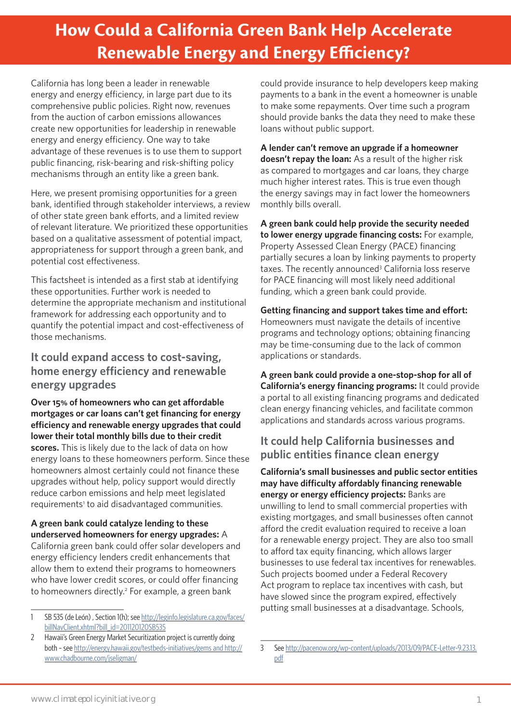# **How Could a California Green Bank Help Accelerate Renewable Energy and Energy Efficiency?**

California has long been a leader in renewable energy and energy efficiency, in large part due to its comprehensive public policies. Right now, revenues from the auction of carbon emissions allowances create new opportunities for leadership in renewable energy and energy efficiency. One way to take advantage of these revenues is to use them to support public financing, risk-bearing and risk-shifting policy mechanisms through an entity like a green bank.

Here, we present promising opportunities for a green bank, identified through stakeholder interviews, a review of other state green bank efforts, and a limited review of relevant literature. We prioritized these opportunities based on a qualitative assessment of potential impact, appropriateness for support through a green bank, and potential cost effectiveness.

This factsheet is intended as a first stab at identifying these opportunities. Further work is needed to determine the appropriate mechanism and institutional framework for addressing each opportunity and to quantify the potential impact and cost-effectiveness of those mechanisms.

### **It could expand access to cost-saving, home energy efficiency and renewable energy upgrades**

**Over 15% of homeowners who can get affordable mortgages or car loans can't get financing for energy efficiency and renewable energy upgrades that could lower their total monthly bills due to their credit scores.** This is likely due to the lack of data on how energy loans to these homeowners perform. Since these homeowners almost certainly could not finance these upgrades without help, policy support would directly reduce carbon emissions and help meet legislated requirements<sup>1</sup> to aid disadvantaged communities.

**A green bank could catalyze lending to these underserved homeowners for energy upgrades:** A California green bank could offer solar developers and energy efficiency lenders credit enhancements that allow them to extend their programs to homeowners who have lower credit scores, or could offer financing to homeowners directly.<sup>2</sup> For example, a green bank

could provide insurance to help developers keep making payments to a bank in the event a homeowner is unable to make some repayments. Over time such a program should provide banks the data they need to make these loans without public support.

**A lender can't remove an upgrade if a homeowner doesn't repay the loan:** As a result of the higher risk as compared to mortgages and car loans, they charge much higher interest rates. This is true even though the energy savings may in fact lower the homeowners monthly bills overall.

**A green bank could help provide the security needed to lower energy upgrade financing costs:** For example, Property Assessed Clean Energy (PACE) financing partially secures a loan by linking payments to property taxes. The recently announced<sup>3</sup> California loss reserve for PACE financing will most likely need additional funding, which a green bank could provide.

**Getting financing and support takes time and effort:**  Homeowners must navigate the details of incentive programs and technology options; obtaining financing may be time-consuming due to the lack of common applications or standards.

**A green bank could provide a one-stop-shop for all of California's energy financing programs:** It could provide a portal to all existing financing programs and dedicated clean energy financing vehicles, and facilitate common applications and standards across various programs.

## **It could help California businesses and public entities finance clean energy**

**California's small businesses and public sector entities may have difficulty affordably financing renewable energy or energy efficiency projects:** Banks are unwilling to lend to small commercial properties with existing mortgages, and small businesses often cannot afford the credit evaluation required to receive a loan for a renewable energy project. They are also too small to afford tax equity financing, which allows larger businesses to use federal tax incentives for renewables. Such projects boomed under a Federal Recovery Act program to replace tax incentives with cash, but have slowed since the program expired, effectively putting small businesses at a disadvantage. Schools,

<sup>1</sup> SB 535 (de León) , Section 1(h); see [http://leginfo.legislature.ca.gov/faces/](http://leginfo.legislature.ca.gov/faces/billNavClient.xhtml?bill_id=201120120SB535) [billNavClient.xhtml?bill\\_id=201120120SB535](http://leginfo.legislature.ca.gov/faces/billNavClient.xhtml?bill_id=201120120SB535)

<sup>2</sup> Hawaii's Green Energy Market Securitization project is currently doing both – see [http://energy.hawaii.gov/testbeds-initiatives/gems and http://](http://energy.hawaii.gov/testbeds-initiatives/gems and http://www.chadbourne.com/jseligman/) [www.chadbourne.com/jseligman/](http://energy.hawaii.gov/testbeds-initiatives/gems and http://www.chadbourne.com/jseligman/)

<sup>3</sup> See [http://pacenow.org/wp-content/uploads/2013/09/PACE-Letter-9.23.13.](http://pacenow.org/wp-content/uploads/2013/09/PACE-Letter-9.23.13.pdf) [pdf](http://pacenow.org/wp-content/uploads/2013/09/PACE-Letter-9.23.13.pdf)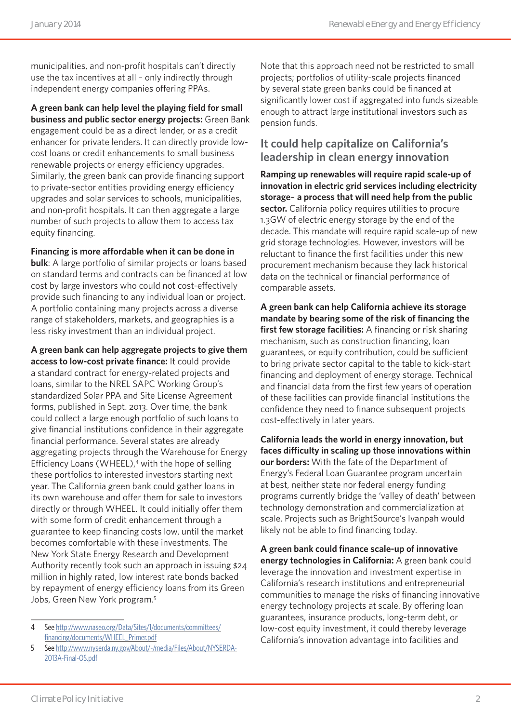municipalities, and non-profit hospitals can't directly use the tax incentives at all – only indirectly through independent energy companies offering PPAs.

**A green bank can help level the playing field for small business and public sector energy projects:** Green Bank engagement could be as a direct lender, or as a credit enhancer for private lenders. It can directly provide lowcost loans or credit enhancements to small business renewable projects or energy efficiency upgrades. Similarly, the green bank can provide financing support to private-sector entities providing energy efficiency upgrades and solar services to schools, municipalities, and non-profit hospitals. It can then aggregate a large number of such projects to allow them to access tax equity financing.

**Financing is more affordable when it can be done in** 

**bulk**: A large portfolio of similar projects or loans based on standard terms and contracts can be financed at low cost by large investors who could not cost-effectively provide such financing to any individual loan or project. A portfolio containing many projects across a diverse range of stakeholders, markets, and geographies is a less risky investment than an individual project.

**A green bank can help aggregate projects to give them access to low-cost private finance:** It could provide a standard contract for energy-related projects and loans, similar to the NREL SAPC Working Group's standardized Solar PPA and Site License Agreement forms, published in Sept. 2013. Over time, the bank could collect a large enough portfolio of such loans to give financial institutions confidence in their aggregate financial performance. Several states are already aggregating projects through the Warehouse for Energy Efficiency Loans (WHEEL),<sup>4</sup> with the hope of selling these portfolios to interested investors starting next year. The California green bank could gather loans in its own warehouse and offer them for sale to investors directly or through WHEEL. It could initially offer them with some form of credit enhancement through a guarantee to keep financing costs low, until the market becomes comfortable with these investments. The New York State Energy Research and Development Authority recently took such an approach in issuing \$24 million in highly rated, low interest rate bonds backed by repayment of energy efficiency loans from its Green Jobs, Green New York program.<sup>5</sup>

Note that this approach need not be restricted to small projects; portfolios of utility-scale projects financed by several state green banks could be financed at significantly lower cost if aggregated into funds sizeable enough to attract large institutional investors such as pension funds.

## **It could help capitalize on California's leadership in clean energy innovation**

**Ramping up renewables will require rapid scale-up of innovation in electric grid services including electricity storage**– **a process that will need help from the public sector.** California policy requires utilities to procure 1.3GW of electric energy storage by the end of the decade. This mandate will require rapid scale-up of new grid storage technologies. However, investors will be reluctant to finance the first facilities under this new procurement mechanism because they lack historical data on the technical or financial performance of comparable assets.

**A green bank can help California achieve its storage mandate by bearing some of the risk of financing the first few storage facilities:** A financing or risk sharing mechanism, such as construction financing, loan guarantees, or equity contribution, could be sufficient to bring private sector capital to the table to kick-start financing and deployment of energy storage. Technical and financial data from the first few years of operation of these facilities can provide financial institutions the confidence they need to finance subsequent projects cost-effectively in later years.

**California leads the world in energy innovation, but faces difficulty in scaling up those innovations within our borders:** With the fate of the Department of Energy's Federal Loan Guarantee program uncertain at best, neither state nor federal energy funding programs currently bridge the 'valley of death' between technology demonstration and commercialization at scale. Projects such as BrightSource's Ivanpah would likely not be able to find financing today.

**A green bank could finance scale-up of innovative energy technologies in California:** A green bank could leverage the innovation and investment expertise in California's research institutions and entrepreneurial communities to manage the risks of financing innovative energy technology projects at scale. By offering loan guarantees, insurance products, long-term debt, or low-cost equity investment, it could thereby leverage California's innovation advantage into facilities and

<sup>4</sup> See [http://www.naseo.org/Data/Sites/1/documents/committees/](http://www.naseo.org/Data/Sites/1/documents/committees/financing/documents/WHEEL_Primer.pdf) [financing/documents/WHEEL\\_Primer.pdf](http://www.naseo.org/Data/Sites/1/documents/committees/financing/documents/WHEEL_Primer.pdf)

<sup>5</sup> See [http://www.nyserda.ny.gov/About/-/media/Files/About/NYSERDA-](http://www.nyserda.ny.gov/About/-/media/Files/About/NYSERDA-2013A-Final-OS.pdf)[2013A-Final-OS.pdf](http://www.nyserda.ny.gov/About/-/media/Files/About/NYSERDA-2013A-Final-OS.pdf)